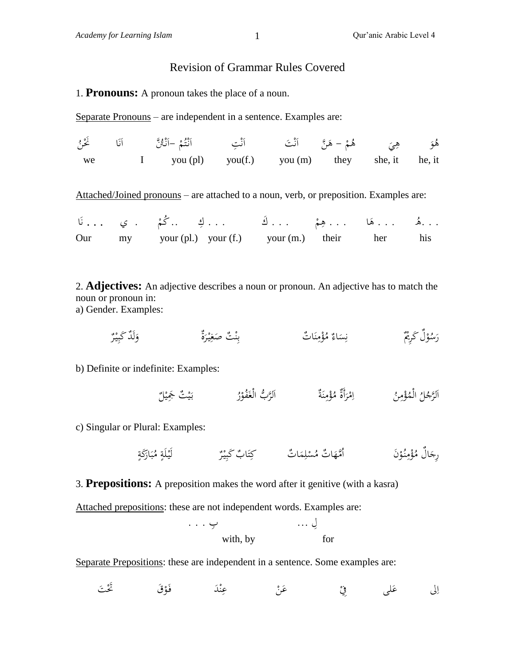ْ ر<br>ا

## Revision of Grammar Rules Covered

## 1. **Pronouns:** A pronoun takes the place of a noun.

Separate Pronouns – are independent in a sentence. Examples are:

| we |  | I you (pl) you (f.) you (m) they she, it he, it |  |  |  |
|----|--|-------------------------------------------------|--|--|--|

Attached/Joined pronouns – are attached to a noun, verb, or preposition. Examples are:

|  | هُم  هِمْ  كَ  كِ  كُمْ . ي  نَا                    |  |  |
|--|-----------------------------------------------------|--|--|
|  | Our my your (pl.) your (f.) your (m.) their her his |  |  |

2. **Adjectives:** An adjective describes a noun or pronoun. An adjective has to match the noun or pronoun in: a) Gender. Examples:

ةٌ وَلَدٌ كَبِيْرٌ **∶** ِ َ َ سَاءٌ مُؤْمِنَاتٌ ۖ<br>يَسَاءُ مُؤْمِنَاتٌ **∶** .<br>پ  $\overline{\phantom{a}}$ ن ِ  $\ddot{\phantom{0}}$ ن **م** ْ  $\ddot{\phantom{0}}$ .<br>با :<br>ب رَسُوْلٌ كَرِيُمٌّ

b) Definite or indefinite: Examples:

لَّرَجُلُ الْمُؤْمِنُ ۚ إِمْرَأَةٌ مُؤْمِنَةٌ ۚ ٱلرَّبُّ الْغَفُوْرُ ۚ يَيْتٌ جَمِيْلٌ  $\frac{1}{2}$ ا ي ي بہ<br>: ْ َ  $\ddot{\phantom{0}}$ ن  $\overline{a}$ ْ ر<br>. **ٔ**  $\sqrt{ }$ ا  $\overline{a}$ ْ

c) Singular or Plural: Examples:

ا َ ب ُ م ٍ لَة ْ لَي ٌ ر ْ ي ِ ٌب َكب ا َ ت ٌت كِ ا َ م ِ ل ْ ُس ٌت م ا َ ُ مه َن ا ْ ُو ن ِ م ْ ؤ ُ اٌل م َ ِرج ٍ َكة َ ر

3. **Prepositions:** A preposition makes the word after it genitive (with a kasra)

Attached prepositions: these are not independent words. Examples are:

$$
\cdots \underset{\text{with, by}}{\downarrow} \qquad \qquad \cdots \underset{\text{for}}{\downarrow}
$$

Separate Prepositions: these are independent in a sentence. Some examples are:

 $\zeta$ لى ِف **ء** إلى عَلمي  $\overline{1}$ الى عَلى فِيْ عَنْ عِنْدَ فَوْقَ كَتْ َ ْ ٍ<br>ا ن .<br>.<br>.